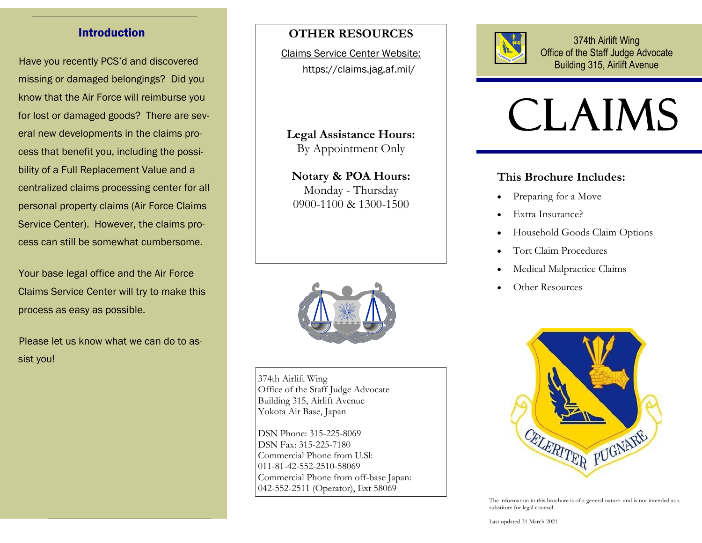# Introduction

Have you recently PCS'd and discovered missing or damaged belongings? Did you know that the Air Force will reimburse you for lost or damaged goods? There are several new developments in the claims process that benefit you, including the possibility of a Full Replacement Value and a centralized claims processing center for all personal property claims (Air Force Claims Service Center). However, the claims process can still be somewhat cumbersome.

Your base legal office and the Air Force Claims Service Center will try to make this process as easy as possible.

Please let us know what we can do to assist you!

# **OTHER RESOURCES**

Claims Service Center Website: [https://claims.jag.af.mil/](http://legalassistance.law.af.mil/claims/faq.html?JA=715968#maximum)

**Legal Assistance Hours:** By Appointment Only

**Notary & POA Hours:** Monday - Thursday 0900-1100 & 1300-1500



374th Airlift Wing Office of the Staff Judge Advocate Building 315, Airlift Avenue Yokota Air Base, Japan

DSN Phone: 315-225-8069 DSN Fax: 315-225-7180 Commercial Phone from U.Sl: 011-81-42-552-2510-58069 Commercial Phone from off-base Japan: 042-552-2511 (Operator), Ext 58069



374th Airlift Wing Office of the Staff Judge Advocate Building 315, Airlift Avenue

# CLAIMS

## **This Brochure Includes:**

- Preparing for a Move
- Extra Insurance?
- Household Goods Claim Options
- Tort Claim Procedures
- Medical Malpractice Claims
- Other Resources



The information in this brochure is of a general nature and is not intended as a substitute for legal counsel.

Last updated 31 March 2021